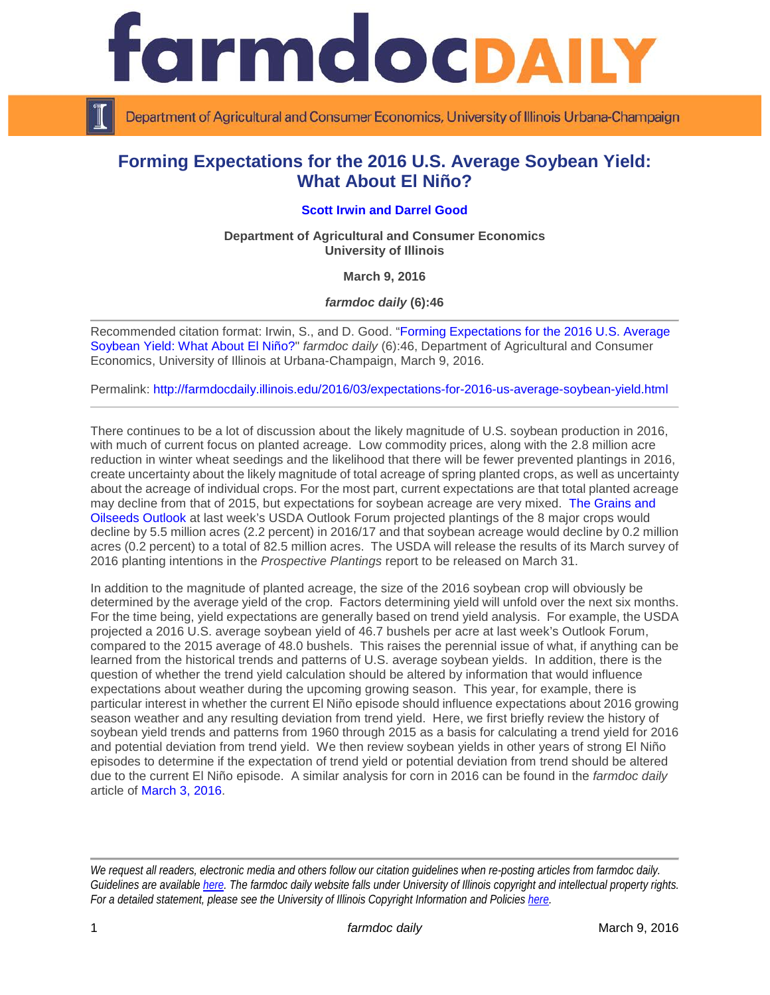

Department of Agricultural and Consumer Economics, University of Illinois Urbana-Champaign

# **Forming Expectations for the 2016 U.S. Average Soybean Yield: What About El Niño?**

# **[Scott Irwin](http://www.farmdoc.illinois.edu/irwin/) and [Darrel Good](http://farmdoc.illinois.edu/good/)**

**Department of Agricultural and Consumer Economics University of Illinois**

**March 9, 2016**

*farmdoc daily* **(6):46**

Recommended citation format: Irwin, S., and D. Good. ["Forming Expectations for the 2016 U.S. Average](http://farmdocdaily.illinois.edu/2016/03/expectations-for-2016-us-average-soybean-yield.html)  [Soybean Yield: What About El Niño?"](http://farmdocdaily.illinois.edu/2016/03/expectations-for-2016-us-average-soybean-yield.html) *farmdoc daily* (6):46, Department of Agricultural and Consumer Economics, University of Illinois at Urbana-Champaign, March 9, 2016.

Permalink: <http://farmdocdaily.illinois.edu/2016/03/expectations-for-2016-us-average-soybean-yield.html>

There continues to be a lot of discussion about the likely magnitude of U.S. soybean production in 2016, with much of current focus on planted acreage. Low commodity prices, along with the 2.8 million acre reduction in winter wheat seedings and the likelihood that there will be fewer prevented plantings in 2016, create uncertainty about the likely magnitude of total acreage of spring planted crops, as well as uncertainty about the acreage of individual crops. For the most part, current expectations are that total planted acreage may decline from that of 2015, but expectations for soybean acreage are very mixed. [The Grains and](http://www.usda.gov/oce/forum/2016_speeches/GO_AOF2016_FINAL.pdf)  [Oilseeds Outlook](http://www.usda.gov/oce/forum/2016_speeches/GO_AOF2016_FINAL.pdf) at last week's USDA Outlook Forum projected plantings of the 8 major crops would decline by 5.5 million acres (2.2 percent) in 2016/17 and that soybean acreage would decline by 0.2 million acres (0.2 percent) to a total of 82.5 million acres. The USDA will release the results of its March survey of 2016 planting intentions in the *Prospective Plantings* report to be released on March 31.

In addition to the magnitude of planted acreage, the size of the 2016 soybean crop will obviously be determined by the average yield of the crop. Factors determining yield will unfold over the next six months. For the time being, yield expectations are generally based on trend yield analysis. For example, the USDA projected a 2016 U.S. average soybean yield of 46.7 bushels per acre at last week's Outlook Forum, compared to the 2015 average of 48.0 bushels. This raises the perennial issue of what, if anything can be learned from the historical trends and patterns of U.S. average soybean yields. In addition, there is the question of whether the trend yield calculation should be altered by information that would influence expectations about weather during the upcoming growing season. This year, for example, there is particular interest in whether the current El Niño episode should influence expectations about 2016 growing season weather and any resulting deviation from trend yield. Here, we first briefly review the history of soybean yield trends and patterns from 1960 through 2015 as a basis for calculating a trend yield for 2016 and potential deviation from trend yield. We then review soybean yields in other years of strong El Niño episodes to determine if the expectation of trend yield or potential deviation from trend should be altered due to the current El Niño episode. A similar analysis for corn in 2016 can be found in the *farmdoc daily* article of [March 3, 2016.](http://farmdocdaily.illinois.edu/2016/03/expectations-for-2016-us-average-corn-yield.html)

*We request all readers, electronic media and others follow our citation guidelines when re-posting articles from farmdoc daily. Guidelines are available [here.](http://farmdocdaily.illinois.edu/citationguide.html) The farmdoc daily website falls under University of Illinois copyright and intellectual property rights. For a detailed statement, please see the University of Illinois Copyright Information and Policies [here.](http://www.cio.illinois.edu/policies/copyright/)*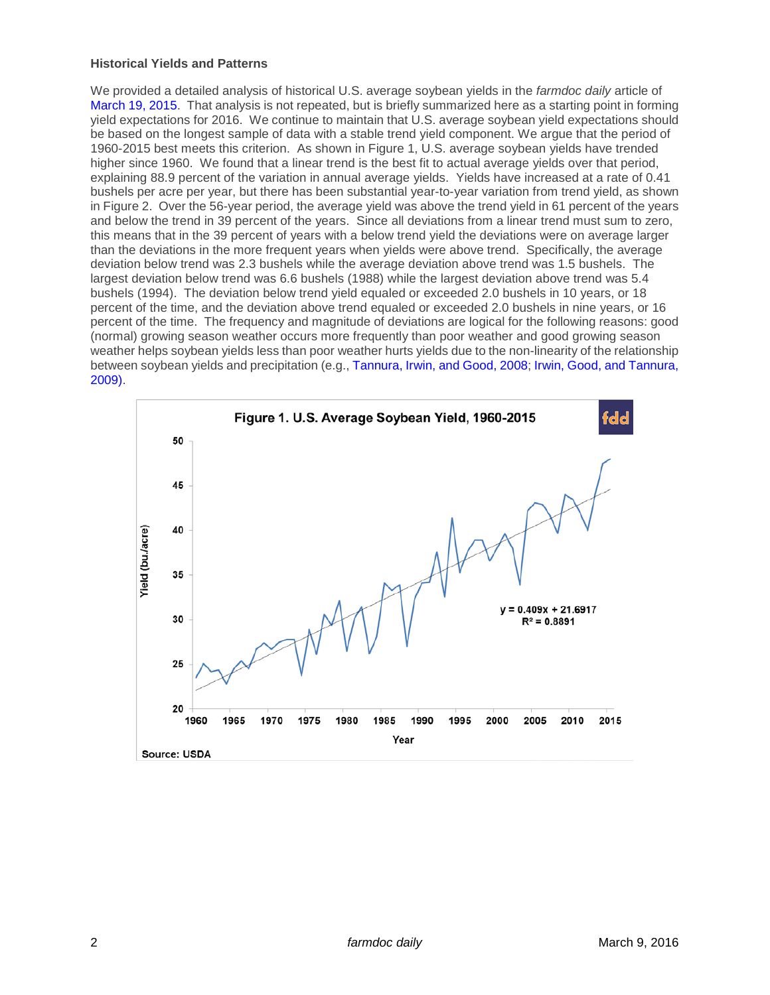#### **Historical Yields and Patterns**

We provided a detailed analysis of historical U.S. average soybean yields in the *farmdoc daily* article of [March 19, 2015.](http://farmdocdaily.illinois.edu/2015/03/expectations-for-2015-us-average-soybean-yield.html) That analysis is not repeated, but is briefly summarized here as a starting point in forming yield expectations for 2016. We continue to maintain that U.S. average soybean yield expectations should be based on the longest sample of data with a stable trend yield component. We argue that the period of 1960-2015 best meets this criterion. As shown in Figure 1, U.S. average soybean yields have trended higher since 1960. We found that a linear trend is the best fit to actual average yields over that period, explaining 88.9 percent of the variation in annual average yields. Yields have increased at a rate of 0.41 bushels per acre per year, but there has been substantial year-to-year variation from trend yield, as shown in Figure 2. Over the 56-year period, the average yield was above the trend yield in 61 percent of the years and below the trend in 39 percent of the years. Since all deviations from a linear trend must sum to zero, this means that in the 39 percent of years with a below trend yield the deviations were on average larger than the deviations in the more frequent years when yields were above trend. Specifically, the average deviation below trend was 2.3 bushels while the average deviation above trend was 1.5 bushels. The largest deviation below trend was 6.6 bushels (1988) while the largest deviation above trend was 5.4 bushels (1994). The deviation below trend yield equaled or exceeded 2.0 bushels in 10 years, or 18 percent of the time, and the deviation above trend equaled or exceeded 2.0 bushels in nine years, or 16 percent of the time. The frequency and magnitude of deviations are logical for the following reasons: good (normal) growing season weather occurs more frequently than poor weather and good growing season weather helps soybean yields less than poor weather hurts yields due to the non-linearity of the relationship [between soybean yields and precipitation \(e.g.,](http://www.farmdoc.illinois.edu/marketing/mobr/mobr_09-02/mobr_09-02.pdf) [Tannura, Irwin, and Good, 2008;](http://www.farmdoc.illinois.edu/marketing/morr/morr_08-01/morr_08-01.pdf) [Irwin, Good, and Tannura,](http://www.farmdoc.illinois.edu/marketing/mobr/mobr_09-02/mobr_09-02.pdf)  2009).

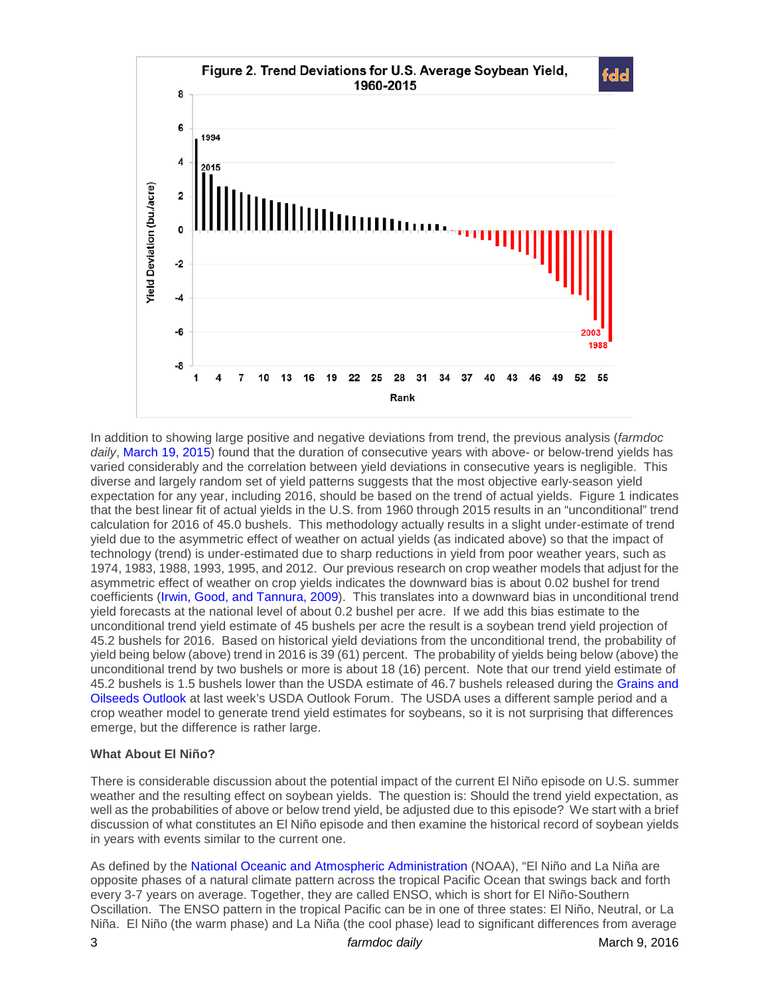

In addition to showing large positive and negative deviations from trend, the previous analysis (*farmdoc daily*, [March 19, 2015\)](http://farmdocdaily.illinois.edu/2015/03/expectations-for-2015-us-average-soybean-yield.html) found that the duration of consecutive years with above- or below-trend yields has varied considerably and the correlation between yield deviations in consecutive years is negligible. This diverse and largely random set of yield patterns suggests that the most objective early-season yield expectation for any year, including 2016, should be based on the trend of actual yields. Figure 1 indicates that the best linear fit of actual yields in the U.S. from 1960 through 2015 results in an "unconditional" trend calculation for 2016 of 45.0 bushels. This methodology actually results in a slight under-estimate of trend yield due to the asymmetric effect of weather on actual yields (as indicated above) so that the impact of technology (trend) is under-estimated due to sharp reductions in yield from poor weather years, such as 1974, 1983, 1988, 1993, 1995, and 2012. Our previous research on crop weather models that adjust for the asymmetric effect of weather on crop yields indicates the downward bias is about 0.02 bushel for trend coefficients [\(Irwin, Good, and Tannura, 2009\)](http://www.farmdoc.illinois.edu/marketing/mobr/mobr_09-02/mobr_09-02.pdf). This translates into a downward bias in unconditional trend yield forecasts at the national level of about 0.2 bushel per acre. If we add this bias estimate to the unconditional trend yield estimate of 45 bushels per acre the result is a soybean trend yield projection of 45.2 bushels for 2016. Based on historical yield deviations from the unconditional trend, the probability of yield being below (above) trend in 2016 is 39 (61) percent. The probability of yields being below (above) the unconditional trend by two bushels or more is about 18 (16) percent. Note that our trend yield estimate of 45.2 bushels is 1.5 bushels lower than the USDA estimate of 46.7 bushels released during the [Grains and](http://www.usda.gov/oce/forum/2016_speeches/GO_AOF2016_FINAL.pdf)  [Oilseeds Outlook](http://www.usda.gov/oce/forum/2016_speeches/GO_AOF2016_FINAL.pdf) at last week's USDA Outlook Forum. The USDA uses a different sample period and a crop weather model to generate trend yield estimates for soybeans, so it is not surprising that differences emerge, but the difference is rather large.

### **What About El Niño?**

There is considerable discussion about the potential impact of the current El Niño episode on U.S. summer weather and the resulting effect on soybean yields. The question is: Should the trend yield expectation, as well as the probabilities of above or below trend yield, be adjusted due to this episode? We start with a brief discussion of what constitutes an El Niño episode and then examine the historical record of soybean yields in years with events similar to the current one.

As defined by the [National Oceanic and Atmospheric Administration](https://www.climate.gov/news-features/understanding-climate/el-ni%C3%B1o-and-la-ni%C3%B1a-frequently-asked-questions) (NOAA), "El Niño and La Niña are opposite phases of a natural climate pattern across the tropical Pacific Ocean that swings back and forth every 3-7 years on average. Together, they are called ENSO, which is short for El Niño-Southern Oscillation. The ENSO pattern in the tropical Pacific can be in one of three states: El Niño, Neutral, or La Niña. El Niño (the warm phase) and La Niña (the cool phase) lead to significant differences from average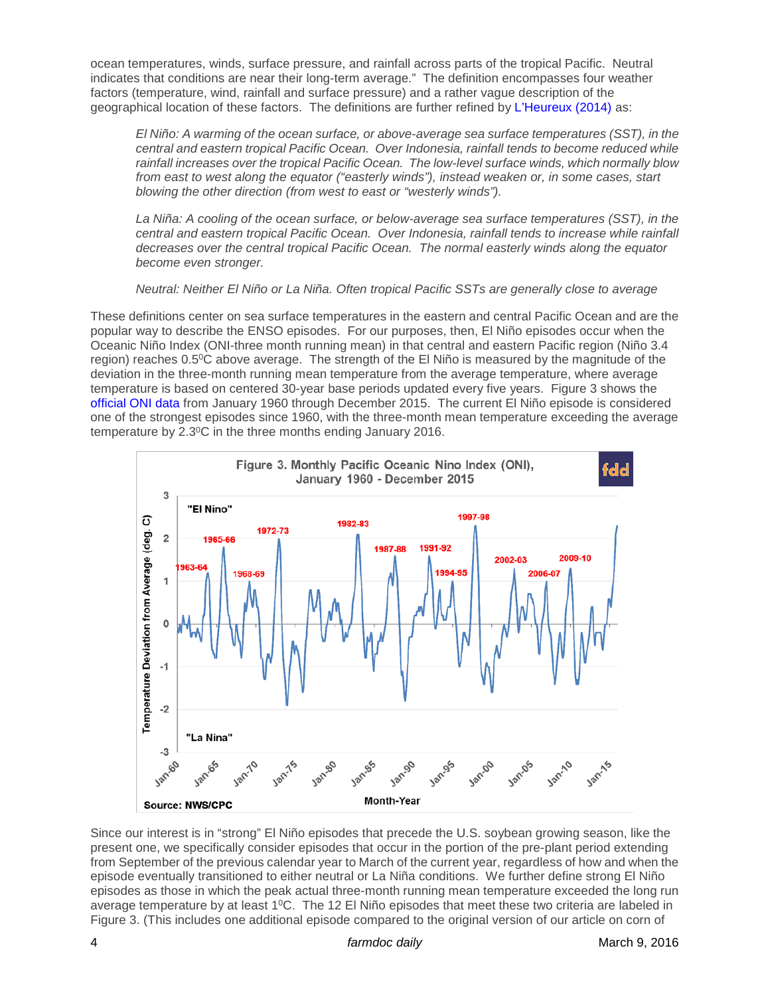ocean temperatures, winds, surface pressure, and rainfall across parts of the tropical Pacific. Neutral indicates that conditions are near their long-term average." The definition encompasses four weather factors (temperature, wind, rainfall and surface pressure) and a rather vague description of the geographical location of these factors. The definitions are further refined by [L'Heureux \(2014\)](https://www.climate.gov/news-features/blogs/enso/what-el-ni%C3%B1o%E2%80%93southern-oscillation-enso-nutshell) as:

*El Niño: A warming of the ocean surface, or above-average sea surface temperatures (SST), in the central and eastern tropical Pacific Ocean. Over Indonesia, rainfall tends to become reduced while rainfall increases over the tropical Pacific Ocean. The low-level surface winds, which normally blow from east to west along the equator ("easterly winds"), instead weaken or, in some cases, start blowing the other direction (from west to east or "westerly winds").*

*La Niña: A cooling of the ocean surface, or below-average sea surface temperatures (SST), in the central and eastern tropical Pacific Ocean. Over Indonesia, rainfall tends to increase while rainfall decreases over the central tropical Pacific Ocean. The normal easterly winds along the equator become even stronger.*

*Neutral: Neither El Niño or La Niña. Often tropical Pacific SSTs are generally close to average* 

These definitions center on sea surface temperatures in the eastern and central Pacific Ocean and are the popular way to describe the ENSO episodes. For our purposes, then, El Niño episodes occur when the Oceanic Niño Index (ONI-three month running mean) in that central and eastern Pacific region (Niño 3.4 region) reaches 0.5<sup>o</sup>C above average. The strength of the El Niño is measured by the magnitude of the deviation in the three-month running mean temperature from the average temperature, where average temperature is based on centered 30-year base periods updated every five years. Figure 3 shows the [official ONI data](http://www.cpc.ncep.noaa.gov/products/analysis_monitoring/ensostuff/ensoyears.shtml) from January 1960 through December 2015. The current El Niño episode is considered one of the strongest episodes since 1960, with the three-month mean temperature exceeding the average temperature by 2.30C in the three months ending January 2016.



Since our interest is in "strong" El Niño episodes that precede the U.S. soybean growing season, like the present one, we specifically consider episodes that occur in the portion of the pre-plant period extending from September of the previous calendar year to March of the current year, regardless of how and when the episode eventually transitioned to either neutral or La Niña conditions. We further define strong El Niño episodes as those in which the peak actual three-month running mean temperature exceeded the long run average temperature by at least 1<sup>o</sup>C. The 12 El Niño episodes that meet these two criteria are labeled in Figure 3. (This includes one additional episode compared to the original version of our article on corn of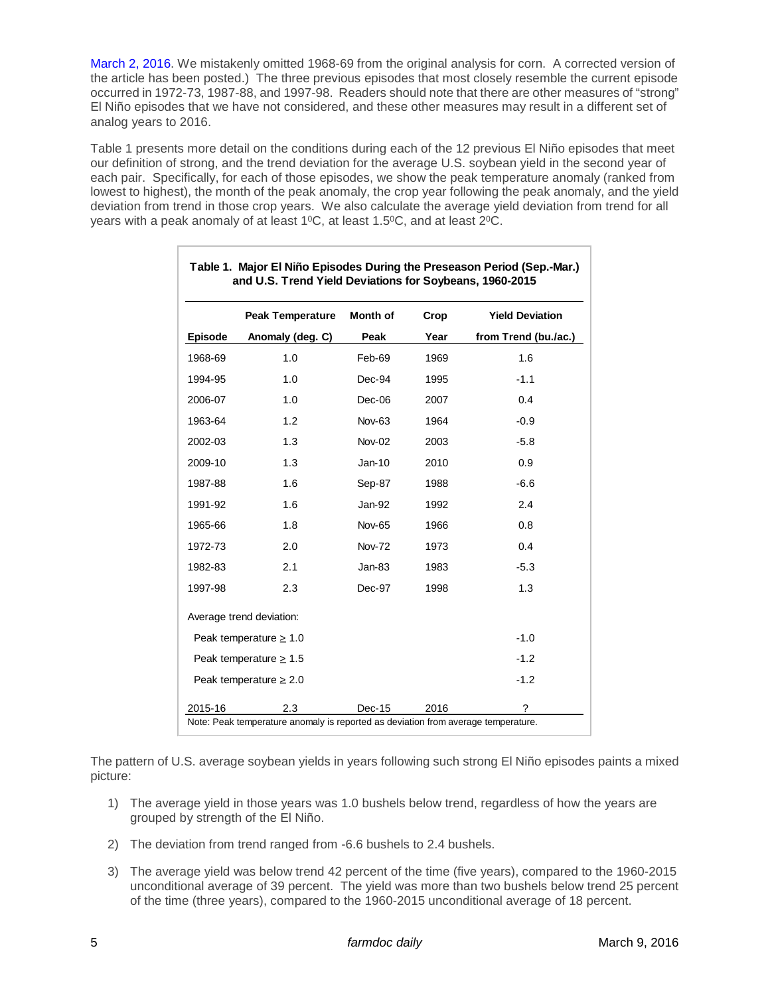[March 2, 2016.](http://farmdocdaily.illinois.edu/2016/03/expectations-for-2016-us-average-corn-yield.html) We mistakenly omitted 1968-69 from the original analysis for corn. A corrected version of the article has been posted.) The three previous episodes that most closely resemble the current episode occurred in 1972-73, 1987-88, and 1997-98. Readers should note that there are other measures of "strong" El Niño episodes that we have not considered, and these other measures may result in a different set of analog years to 2016.

Table 1 presents more detail on the conditions during each of the 12 previous El Niño episodes that meet our definition of strong, and the trend deviation for the average U.S. soybean yield in the second year of each pair. Specifically, for each of those episodes, we show the peak temperature anomaly (ranked from lowest to highest), the month of the peak anomaly, the crop year following the peak anomaly, and the yield deviation from trend in those crop years. We also calculate the average yield deviation from trend for all years with a peak anomaly of at least 1<sup>o</sup>C, at least 1.5<sup>o</sup>C, and at least 2<sup>o</sup>C.

|                             | <b>Peak Temperature</b>  | <b>Month of</b> | Crop | <b>Yield Deviation</b> |
|-----------------------------|--------------------------|-----------------|------|------------------------|
| <b>Episode</b>              | Anomaly (deg. C)         | Peak            | Year | from Trend (bu./ac.)   |
| 1968-69                     | 1.0                      | Feb-69          | 1969 | 1.6                    |
| 1994-95                     | 1.0                      | Dec-94          | 1995 | $-1.1$                 |
| 2006-07                     | 1.0                      | Dec-06          | 2007 | 0.4                    |
| 1963-64                     | 1.2                      | <b>Nov-63</b>   | 1964 | $-0.9$                 |
| 2002-03                     | 1.3                      | Nov-02          | 2003 | $-5.8$                 |
| 2009-10                     | 1.3                      | $Jan-10$        | 2010 | 0.9                    |
| 1987-88                     | 1.6                      | Sep-87          | 1988 | $-6.6$                 |
| 1991-92                     | 1.6                      | Jan-92          | 1992 | 2.4                    |
| 1965-66                     | 1.8                      | <b>Nov-65</b>   | 1966 | 0.8                    |
| 1972-73                     | 2.0                      | <b>Nov-72</b>   | 1973 | 0.4                    |
| 1982-83                     | 2.1                      | Jan-83          | 1983 | $-5.3$                 |
| 1997-98                     | 2.3                      | Dec-97          | 1998 | 1.3                    |
|                             | Average trend deviation: |                 |      |                        |
| Peak temperature $\geq 1.0$ |                          |                 |      | $-1.0$                 |
| Peak temperature $\geq 1.5$ |                          |                 |      | $-1.2$                 |
| Peak temperature $> 2.0$    |                          |                 |      | $-1.2$                 |
| 2015-16                     | 2.3                      | Dec-15          | 2016 | ?                      |

#### **Table 1. Major El Niño Episodes During the Preseason Period (Sep.-Mar.) and U.S. Trend Yield Deviations for Soybeans, 1960-2015**

The pattern of U.S. average soybean yields in years following such strong El Niño episodes paints a mixed picture:

- 1) The average yield in those years was 1.0 bushels below trend, regardless of how the years are grouped by strength of the El Niño.
- 2) The deviation from trend ranged from -6.6 bushels to 2.4 bushels.
- 3) The average yield was below trend 42 percent of the time (five years), compared to the 1960-2015 unconditional average of 39 percent. The yield was more than two bushels below trend 25 percent of the time (three years), compared to the 1960-2015 unconditional average of 18 percent.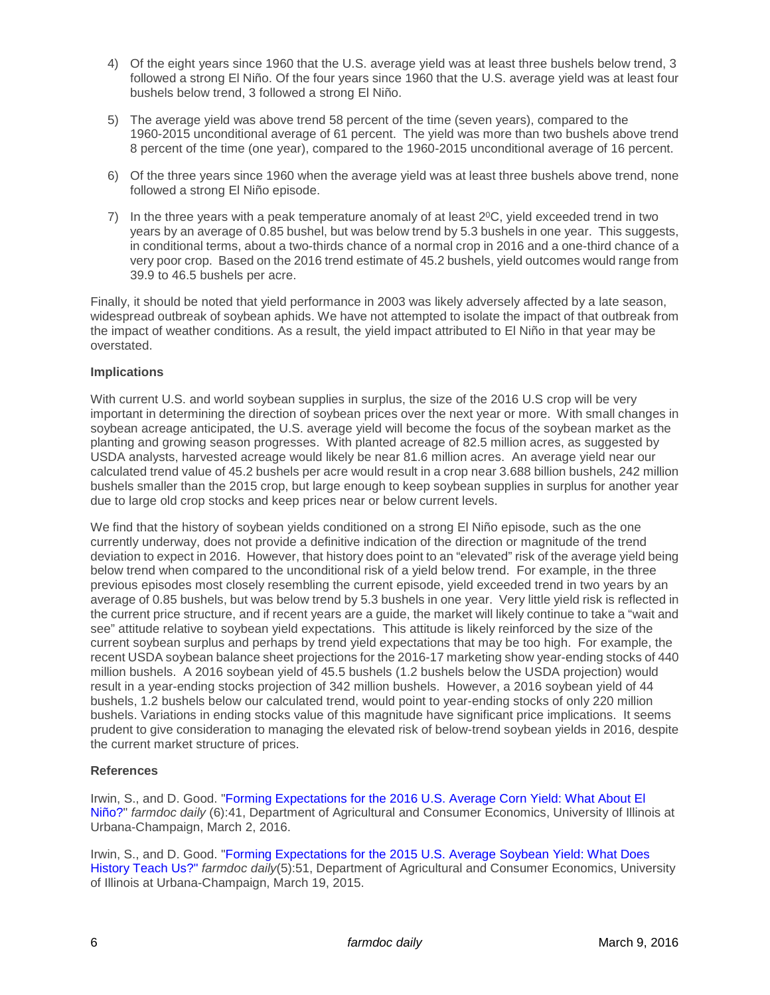- 4) Of the eight years since 1960 that the U.S. average yield was at least three bushels below trend, 3 followed a strong El Niño. Of the four years since 1960 that the U.S. average yield was at least four bushels below trend, 3 followed a strong El Niño.
- 5) The average yield was above trend 58 percent of the time (seven years), compared to the 1960-2015 unconditional average of 61 percent. The yield was more than two bushels above trend 8 percent of the time (one year), compared to the 1960-2015 unconditional average of 16 percent.
- 6) Of the three years since 1960 when the average yield was at least three bushels above trend, none followed a strong El Niño episode.
- 7) In the three years with a peak temperature anomaly of at least  $2^{\circ}$ C, yield exceeded trend in two years by an average of 0.85 bushel, but was below trend by 5.3 bushels in one year. This suggests, in conditional terms, about a two-thirds chance of a normal crop in 2016 and a one-third chance of a very poor crop. Based on the 2016 trend estimate of 45.2 bushels, yield outcomes would range from 39.9 to 46.5 bushels per acre.

Finally, it should be noted that yield performance in 2003 was likely adversely affected by a late season, widespread outbreak of soybean aphids. We have not attempted to isolate the impact of that outbreak from the impact of weather conditions. As a result, the yield impact attributed to El Niño in that year may be overstated.

### **Implications**

With current U.S. and world soybean supplies in surplus, the size of the 2016 U.S crop will be very important in determining the direction of soybean prices over the next year or more. With small changes in soybean acreage anticipated, the U.S. average yield will become the focus of the soybean market as the planting and growing season progresses. With planted acreage of 82.5 million acres, as suggested by USDA analysts, harvested acreage would likely be near 81.6 million acres. An average yield near our calculated trend value of 45.2 bushels per acre would result in a crop near 3.688 billion bushels, 242 million bushels smaller than the 2015 crop, but large enough to keep soybean supplies in surplus for another year due to large old crop stocks and keep prices near or below current levels.

We find that the history of soybean yields conditioned on a strong El Niño episode, such as the one currently underway, does not provide a definitive indication of the direction or magnitude of the trend deviation to expect in 2016. However, that history does point to an "elevated" risk of the average yield being below trend when compared to the unconditional risk of a yield below trend. For example, in the three previous episodes most closely resembling the current episode, yield exceeded trend in two years by an average of 0.85 bushels, but was below trend by 5.3 bushels in one year. Very little yield risk is reflected in the current price structure, and if recent years are a guide, the market will likely continue to take a "wait and see" attitude relative to soybean yield expectations. This attitude is likely reinforced by the size of the current soybean surplus and perhaps by trend yield expectations that may be too high. For example, the recent USDA soybean balance sheet projections for the 2016-17 marketing show year-ending stocks of 440 million bushels. A 2016 soybean yield of 45.5 bushels (1.2 bushels below the USDA projection) would result in a year-ending stocks projection of 342 million bushels. However, a 2016 soybean yield of 44 bushels, 1.2 bushels below our calculated trend, would point to year-ending stocks of only 220 million bushels. Variations in ending stocks value of this magnitude have significant price implications. It seems prudent to give consideration to managing the elevated risk of below-trend soybean yields in 2016, despite the current market structure of prices.

## **References**

Irwin, S., and D. Good. ["Forming Expectations for the 2016 U.S. Average Corn Yield: What About El](http://farmdocdaily.illinois.edu/2016/03/expectations-for-2016-us-average-corn-yield.html)  [Niño?"](http://farmdocdaily.illinois.edu/2016/03/expectations-for-2016-us-average-corn-yield.html) *farmdoc daily* (6):41, Department of Agricultural and Consumer Economics, University of Illinois at Urbana-Champaign, March 2, 2016.

Irwin, S., and D. Good. ["Forming Expectations for the 2015 U.S. Average Soybean Yield: What Does](http://farmdocdaily.illinois.edu/2015/03/expectations-for-2015-us-average-soybean-yield.html)  [History Teach Us?"](http://farmdocdaily.illinois.edu/2015/03/expectations-for-2015-us-average-soybean-yield.html) *farmdoc daily*(5):51, Department of Agricultural and Consumer Economics, University of Illinois at Urbana-Champaign, March 19, 2015.